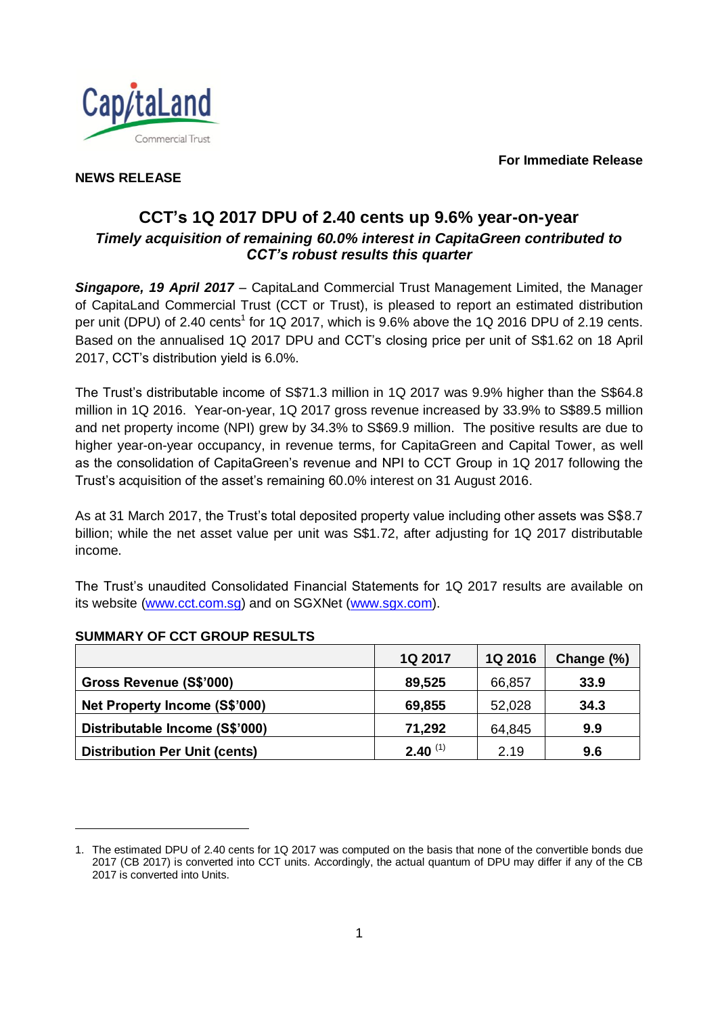**For Immediate Release**



### **NEWS RELEASE**

# **CCT's 1Q 2017 DPU of 2.40 cents up 9.6% year-on-year** *Timely acquisition of remaining 60.0% interest in CapitaGreen contributed to CCT's robust results this quarter*

*Singapore, 19 April 2017* – CapitaLand Commercial Trust Management Limited, the Manager of CapitaLand Commercial Trust (CCT or Trust), is pleased to report an estimated distribution per unit (DPU) of 2.40 cents<sup>1</sup> for 1Q 2017, which is 9.6% above the 1Q 2016 DPU of 2.19 cents. Based on the annualised 1Q 2017 DPU and CCT's closing price per unit of S\$1.62 on 18 April 2017, CCT's distribution yield is 6.0%.

The Trust's distributable income of S\$71.3 million in 1Q 2017 was 9.9% higher than the S\$64.8 million in 1Q 2016. Year-on-year, 1Q 2017 gross revenue increased by 33.9% to S\$89.5 million and net property income (NPI) grew by 34.3% to S\$69.9 million. The positive results are due to higher year-on-year occupancy, in revenue terms, for CapitaGreen and Capital Tower, as well as the consolidation of CapitaGreen's revenue and NPI to CCT Group in 1Q 2017 following the Trust's acquisition of the asset's remaining 60.0% interest on 31 August 2016.

As at 31 March 2017, the Trust's total deposited property value including other assets was S\$8.7 billion; while the net asset value per unit was S\$1.72, after adjusting for 1Q 2017 distributable income.

The Trust's unaudited Consolidated Financial Statements for 1Q 2017 results are available on its website [\(www.cct.com.sg\)](http://www.cct.com.sg/) and on SGXNet [\(www.sgx.com\)](http://www.sgx.com/).

|                                      | 1Q 2017      | 1Q 2016 | Change (%) |
|--------------------------------------|--------------|---------|------------|
| Gross Revenue (S\$'000)              | 89,525       | 66,857  | 33.9       |
| Net Property Income (S\$'000)        | 69,855       | 52,028  | 34.3       |
| Distributable Income (S\$'000)       | 71,292       | 64,845  | 9.9        |
| <b>Distribution Per Unit (cents)</b> | $2.40^{(1)}$ | 2.19    | 9.6        |

## **SUMMARY OF CCT GROUP RESULTS**

l

<sup>1.</sup> The estimated DPU of 2.40 cents for 1Q 2017 was computed on the basis that none of the convertible bonds due 2017 (CB 2017) is converted into CCT units. Accordingly, the actual quantum of DPU may differ if any of the CB 2017 is converted into Units.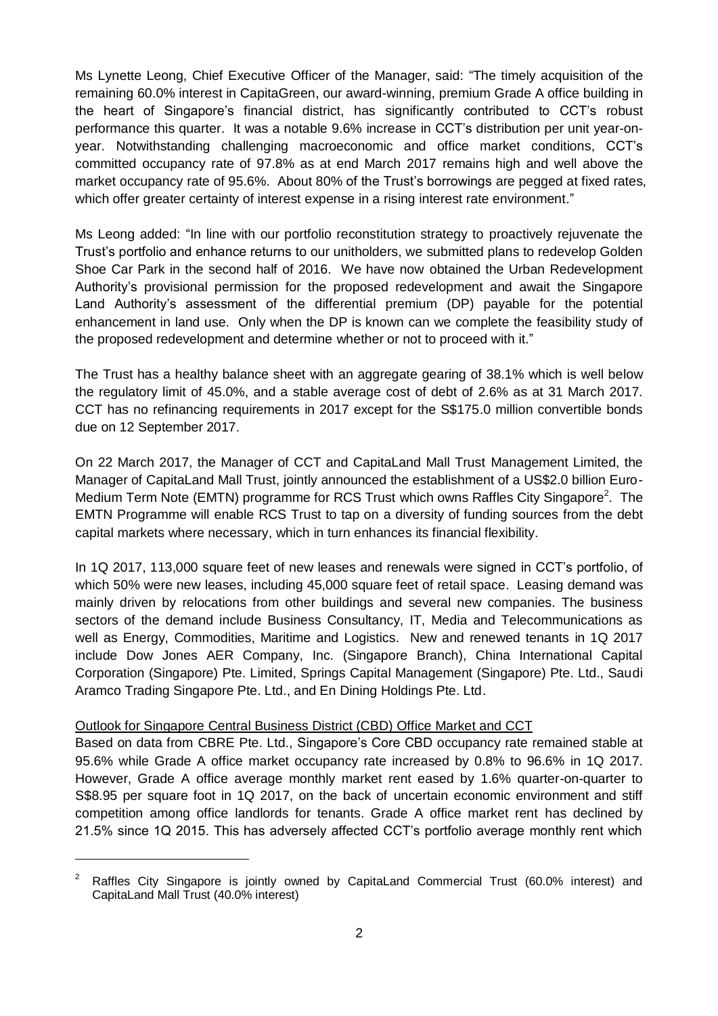Ms Lynette Leong, Chief Executive Officer of the Manager, said: "The timely acquisition of the remaining 60.0% interest in CapitaGreen, our award-winning, premium Grade A office building in the heart of Singapore's financial district, has significantly contributed to CCT's robust performance this quarter. It was a notable 9.6% increase in CCT's distribution per unit year-onyear. Notwithstanding challenging macroeconomic and office market conditions, CCT's committed occupancy rate of 97.8% as at end March 2017 remains high and well above the market occupancy rate of 95.6%. About 80% of the Trust's borrowings are pegged at fixed rates, which offer greater certainty of interest expense in a rising interest rate environment."

Ms Leong added: "In line with our portfolio reconstitution strategy to proactively rejuvenate the Trust's portfolio and enhance returns to our unitholders, we submitted plans to redevelop Golden Shoe Car Park in the second half of 2016. We have now obtained the Urban Redevelopment Authority's provisional permission for the proposed redevelopment and await the Singapore Land Authority's assessment of the differential premium (DP) payable for the potential enhancement in land use. Only when the DP is known can we complete the feasibility study of the proposed redevelopment and determine whether or not to proceed with it."

The Trust has a healthy balance sheet with an aggregate gearing of 38.1% which is well below the regulatory limit of 45.0%, and a stable average cost of debt of 2.6% as at 31 March 2017. CCT has no refinancing requirements in 2017 except for the S\$175.0 million convertible bonds due on 12 September 2017.

On 22 March 2017, the Manager of CCT and CapitaLand Mall Trust Management Limited, the Manager of CapitaLand Mall Trust, jointly announced the establishment of a US\$2.0 billion Euro-Medium Term Note (EMTN) programme for RCS Trust which owns Raffles City Singapore<sup>2</sup>. The EMTN Programme will enable RCS Trust to tap on a diversity of funding sources from the debt capital markets where necessary, which in turn enhances its financial flexibility.

In 1Q 2017, 113,000 square feet of new leases and renewals were signed in CCT's portfolio, of which 50% were new leases, including 45,000 square feet of retail space. Leasing demand was mainly driven by relocations from other buildings and several new companies. The business sectors of the demand include Business Consultancy, IT, Media and Telecommunications as well as Energy, Commodities, Maritime and Logistics. New and renewed tenants in 1Q 2017 include Dow Jones AER Company, Inc. (Singapore Branch), China International Capital Corporation (Singapore) Pte. Limited, Springs Capital Management (Singapore) Pte. Ltd., Saudi Aramco Trading Singapore Pte. Ltd., and En Dining Holdings Pte. Ltd.

#### Outlook for Singapore Central Business District (CBD) Office Market and CCT

l

Based on data from CBRE Pte. Ltd., Singapore's Core CBD occupancy rate remained stable at 95.6% while Grade A office market occupancy rate increased by 0.8% to 96.6% in 1Q 2017. However, Grade A office average monthly market rent eased by 1.6% quarter-on-quarter to S\$8.95 per square foot in 1Q 2017, on the back of uncertain economic environment and stiff competition among office landlords for tenants. Grade A office market rent has declined by 21.5% since 1Q 2015. This has adversely affected CCT's portfolio average monthly rent which

 $2^{\circ}$  Raffles City Singapore is jointly owned by CapitaLand Commercial Trust (60.0% interest) and CapitaLand Mall Trust (40.0% interest)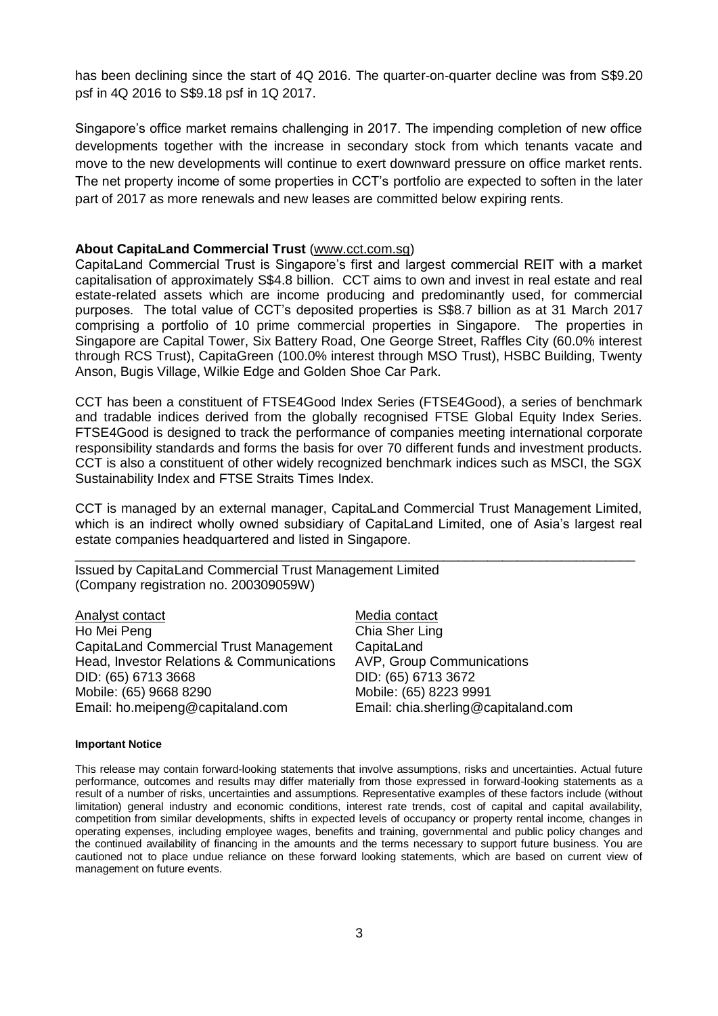has been declining since the start of 4Q 2016. The quarter-on-quarter decline was from S\$9.20 psf in 4Q 2016 to S\$9.18 psf in 1Q 2017.

Singapore's office market remains challenging in 2017. The impending completion of new office developments together with the increase in secondary stock from which tenants vacate and move to the new developments will continue to exert downward pressure on office market rents. The net property income of some properties in CCT's portfolio are expected to soften in the later part of 2017 as more renewals and new leases are committed below expiring rents.

#### **About CapitaLand Commercial Trust** (www.cct.com.sg)

CapitaLand Commercial Trust is Singapore's first and largest commercial REIT with a market capitalisation of approximately S\$4.8 billion. CCT aims to own and invest in real estate and real estate-related assets which are income producing and predominantly used, for commercial purposes. The total value of CCT's deposited properties is S\$8.7 billion as at 31 March 2017 comprising a portfolio of 10 prime commercial properties in Singapore. The properties in Singapore are Capital Tower, Six Battery Road, One George Street, Raffles City (60.0% interest through RCS Trust), CapitaGreen (100.0% interest through MSO Trust), HSBC Building, Twenty Anson, Bugis Village, Wilkie Edge and Golden Shoe Car Park.

CCT has been a constituent of FTSE4Good Index Series (FTSE4Good), a series of benchmark and tradable indices derived from the globally recognised FTSE Global Equity Index Series. FTSE4Good is designed to track the performance of companies meeting international corporate responsibility standards and forms the basis for over 70 different funds and investment products. CCT is also a constituent of other widely recognized benchmark indices such as MSCI, the SGX Sustainability Index and FTSE Straits Times Index.

CCT is managed by an external manager, CapitaLand Commercial Trust Management Limited, which is an indirect wholly owned subsidiary of CapitaLand Limited, one of Asia's largest real estate companies headquartered and listed in Singapore.

\_\_\_\_\_\_\_\_\_\_\_\_\_\_\_\_\_\_\_\_\_\_\_\_\_\_\_\_\_\_\_\_\_\_\_\_\_\_\_\_\_\_\_\_\_\_\_\_\_\_\_\_\_\_\_\_\_\_\_\_\_\_\_\_\_\_\_\_\_\_\_\_\_\_\_\_

Issued by CapitaLand Commercial Trust Management Limited (Company registration no. 200309059W)

| Analyst contact                           | Media contact                       |
|-------------------------------------------|-------------------------------------|
| Ho Mei Peng                               | Chia Sher Ling                      |
| CapitaLand Commercial Trust Management    | CapitaLand                          |
| Head, Investor Relations & Communications | <b>AVP, Group Communications</b>    |
| DID: (65) 6713 3668                       | DID: (65) 6713 3672                 |
| Mobile: (65) 9668 8290                    | Mobile: (65) 8223 9991              |
| Email: ho.meipeng@capitaland.com          | Email: chia.sherling@capitaland.com |
|                                           |                                     |

#### **Important Notice**

This release may contain forward-looking statements that involve assumptions, risks and uncertainties. Actual future performance, outcomes and results may differ materially from those expressed in forward-looking statements as a result of a number of risks, uncertainties and assumptions. Representative examples of these factors include (without limitation) general industry and economic conditions, interest rate trends, cost of capital and capital availability, competition from similar developments, shifts in expected levels of occupancy or property rental income, changes in operating expenses, including employee wages, benefits and training, governmental and public policy changes and the continued availability of financing in the amounts and the terms necessary to support future business. You are cautioned not to place undue reliance on these forward looking statements, which are based on current view of management on future events.